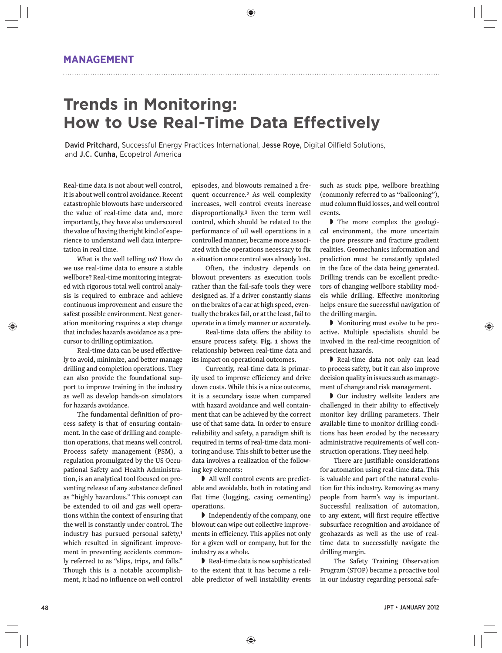# **Trends in Monitoring: How to Use Real-Time Data Effectively**

David Pritchard, Successful Energy Practices International, Jesse Roye, Digital Oilfield Solutions, and J.C. Cunha, Ecopetrol America

Real-time data is not about well control, it is about well control avoidance. Recent catastrophic blowouts have underscored the value of real-time data and, more importantly, they have also underscored the value of having the right kind of experience to understand well data interpretation in real time.

What is the well telling us? How do we use real-time data to ensure a stable wellbore? Real-time monitoring integrated with rigorous total well control analysis is required to embrace and achieve continuous improvement and ensure the safest possible environment. Next generation monitoring requires a step change that includes hazards avoidance as a precursor to drilling optimization.

Real-time data can be used effectively to avoid, minimize, and better manage drilling and completion operations. They can also provide the foundational support to improve training in the industry as well as develop hands-on simulators for hazards avoidance.

The fundamental definition of process safety is that of ensuring containment. In the case of drilling and completion operations, that means well control. Process safety management (PSM), a regulation promulgated by the US Occupational Safety and Health Administration, is an analytical tool focused on preventing release of any substance defined as "highly hazardous." This concept can be extended to oil and gas well operations within the context of ensuring that the well is constantly under control. The industry has pursued personal safety,1 which resulted in significant improvement in preventing accidents commonly referred to as "slips, trips, and falls." Though this is a notable accomplishment, it had no influence on well control

episodes, and blowouts remained a frequent occurrence.2 As well complexity increases, well control events increase disproportionally.3 Even the term well control, which should be related to the performance of oil well operations in a controlled manner, became more associated with the operations necessary to fix a situation once control was already lost.

Often, the industry depends on blowout preventers as execution tools rather than the fail-safe tools they were designed as. If a driver constantly slams on the brakes of a car at high speed, eventually the brakes fail, or at the least, fail to operate in a timely manner or accurately.

Real-time data offers the ability to ensure process safety. **Fig. 1** shows the relationship between real-time data and its impact on operational outcomes.

Currently, real-time data is primarily used to improve efficiency and drive down costs. While this is a nice outcome, it is a secondary issue when compared with hazard avoidance and well containment that can be achieved by the correct use of that same data. In order to ensure reliability and safety, a paradigm shift is required in terms of real-time data monitoring and use. This shift to better use the data involves a realization of the following key elements:

◗ All well control events are predictable and avoidable, both in rotating and flat time (logging, casing cementing) operations.

◗ Independently of the company, one blowout can wipe out collective improvements in efficiency. This applies not only for a given well or company, but for the industry as a whole.

◗ Real-time data is now sophisticated to the extent that it has become a reliable predictor of well instability events such as stuck pipe, wellbore breathing (commonly referred to as "ballooning"), mud column fluid losses, and well control events.

◗ The more complex the geological environment, the more uncertain the pore pressure and fracture gradient realities. Geomechanics information and prediction must be constantly updated in the face of the data being generated. Drilling trends can be excellent predictors of changing wellbore stability models while drilling. Effective monitoring helps ensure the successful navigation of the drilling margin.

◗ Monitoring must evolve to be proactive. Multiple specialists should be involved in the real-time recognition of prescient hazards.

◗ Real-time data not only can lead to process safety, but it can also improve decision quality in issues such as management of change and risk management.

◗ Our industry wellsite leaders are challenged in their ability to effectively monitor key drilling parameters. Their available time to monitor drilling conditions has been eroded by the necessary administrative requirements of well construction operations. They need help.

There are justifiable considerations for automation using real-time data. This is valuable and part of the natural evolution for this industry. Removing as many people from harm's way is important. Successful realization of automation, to any extent, will first require effective subsurface recognition and avoidance of geohazards as well as the use of realtime data to successfully navigate the drilling margin.

The Safety Training Observation Program (STOP) became a proactive tool in our industry regarding personal safe-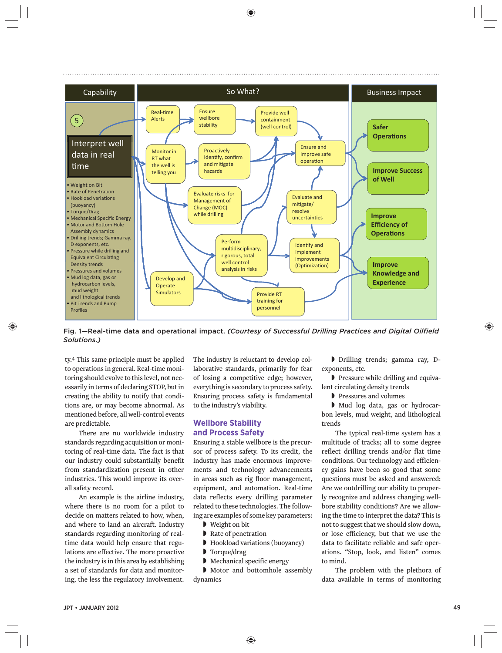

Fig. 1—Real-time data and operational impact. *(Courtesy of Successful Drilling Practices and Digital Oilfield Solutions.)*

ty.4 This same principle must be applied to operations in general. Real-time monitoring should evolve to this level, not necessarily in terms of declaring STOP, but in creating the ability to notify that conditions are, or may become abnormal. As mentioned before, all well-control events are predictable.

There are no worldwide industry standards regarding acquisition or monitoring of real-time data. The fact is that our industry could substantially benefit from standardization present in other industries. This would improve its overall safety record.

An example is the airline industry, where there is no room for a pilot to decide on matters related to how, when, and where to land an aircraft. Industry standards regarding monitoring of realtime data would help ensure that regulations are effective. The more proactive the industry is in this area by establishing a set of standards for data and monitoring, the less the regulatory involvement.

The industry is reluctant to develop collaborative standards, primarily for fear of losing a competitive edge; however, everything is secondary to process safety. Ensuring process safety is fundamental to the industry's viability.

#### **Wellbore Stability and Process Safety**

Ensuring a stable wellbore is the precursor of process safety. To its credit, the industry has made enormous improvements and technology advancements in areas such as rig floor management, equipment, and automation. Real-time data reflects every drilling parameter related to these technologies. The following are examples of some key parameters:

- ◗ Weight on bit
- **▶ Rate of penetration**
- ◗ Hookload variations (buoyancy)
- ◗ Torque/drag
- ◗ Mechanical specific energy

◗ Motor and bottomhole assembly dynamics

◗ Drilling trends; gamma ray, Dexponents, etc.

◗ Pressure while drilling and equivalent circulating density trends

◗ Pressures and volumes

◗ Mud log data, gas or hydrocarbon levels, mud weight, and lithological trends

The typical real-time system has a multitude of tracks; all to some degree reflect drilling trends and/or flat time conditions. Our technology and efficiency gains have been so good that some questions must be asked and answered: Are we outdrilling our ability to properly recognize and address changing wellbore stability conditions? Are we allowing the time to interpret the data? This is not to suggest that we should slow down, or lose efficiency, but that we use the data to facilitate reliable and safe operations. "Stop, look, and listen" comes to mind.

The problem with the plethora of data available in terms of monitoring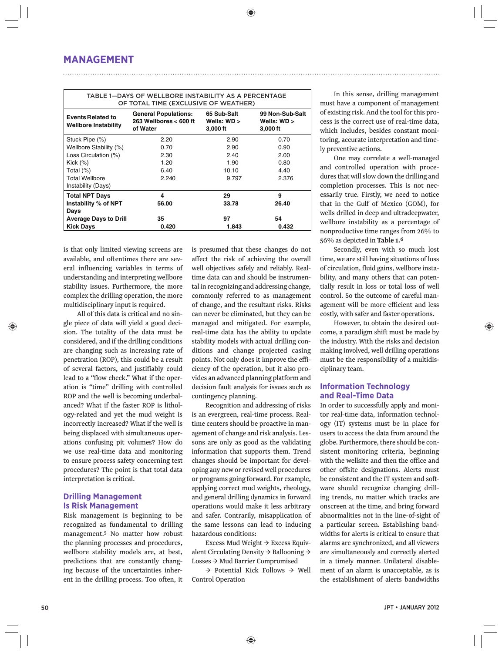| TABLE 1-DAYS OF WELLBORE INSTABILITY AS A PERCENTAGE<br>OF TOTAL TIME (EXCLUSIVE OF WEATHER) |                                                                     |                                            |                                              |
|----------------------------------------------------------------------------------------------|---------------------------------------------------------------------|--------------------------------------------|----------------------------------------------|
| <b>Events Related to</b><br><b>Wellbore Instability</b>                                      | <b>General Populations:</b><br>263 Wellbores $<$ 600 ft<br>of Water | 65 Sub-Salt<br>Wells: $WD >$<br>$3,000$ ft | 99 Non-Sub-Salt<br>Wells: $WD >$<br>3,000 ft |
| Stuck Pipe (%)                                                                               | 2.20                                                                | 2.90                                       | 0.70                                         |
| Wellbore Stability (%)                                                                       | 0.70                                                                | 2.90                                       | 0.90                                         |
| Loss Circulation (%)                                                                         | 2.30                                                                | 2.40                                       | 2.00                                         |
| Kick $(\%)$                                                                                  | 1.20                                                                | 1.90                                       | 0.80                                         |
| Total $(\%)$                                                                                 | 6.40                                                                | 10.10                                      | 4.40                                         |
| <b>Total Wellbore</b><br>Instability (Days)                                                  | 2.240                                                               | 9.797                                      | 2.376                                        |
| <b>Total NPT Days</b>                                                                        | 4                                                                   | 29                                         | 9                                            |
| Instability % of NPT<br>Days                                                                 | 56.00                                                               | 33.78                                      | 26.40                                        |
| <b>Average Days to Drill</b>                                                                 | 35                                                                  | 97                                         | 54                                           |
| <b>Kick Days</b>                                                                             | 0.420                                                               | 1.843                                      | 0.432                                        |

is that only limited viewing screens are available, and oftentimes there are several influencing variables in terms of understanding and interpreting wellbore stability issues. Furthermore, the more complex the drilling operation, the more multidisciplinary input is required.

All of this data is critical and no single piece of data will yield a good decision. The totality of the data must be considered, and if the drilling conditions are changing such as increasing rate of penetration (ROP), this could be a result of several factors, and justifiably could lead to a "flow check." What if the operation is "time" drilling with controlled ROP and the well is becoming underbalanced? What if the faster ROP is lithology-related and yet the mud weight is incorrectly increased? What if the well is being displaced with simultaneous operations confusing pit volumes? How do we use real-time data and monitoring to ensure process safety concerning test procedures? The point is that total data interpretation is critical.

#### **Drilling Management Is Risk Management**

Risk management is beginning to be recognized as fundamental to drilling management.5 No matter how robust the planning processes and procedures, wellbore stability models are, at best, predictions that are constantly changing because of the uncertainties inherent in the drilling process. Too often, it is presumed that these changes do not affect the risk of achieving the overall well objectives safely and reliably. Realtime data can and should be instrumental in recognizing and addressing change, commonly referred to as management of change, and the resultant risks. Risks can never be eliminated, but they can be managed and mitigated. For example, real-time data has the ability to update stability models with actual drilling conditions and change projected casing points. Not only does it improve the efficiency of the operation, but it also provides an advanced planning platform and decision fault analysis for issues such as contingency planning.

Recognition and addressing of risks is an evergreen, real-time process. Realtime centers should be proactive in management of change and risk analysis. Lessons are only as good as the validating information that supports them. Trend changes should be important for developing any new or revised well procedures or programs going forward. For example, applying correct mud weights, rheology, and general drilling dynamics in forward operations would make it less arbitrary and safer. Contrarily, misapplication of the same lessons can lead to inducing hazardous conditions:

Excess Mud Weight → Excess Equivalent Circulating Density → Ballooning → Losses → Mud Barrier Compromised

→ Potential Kick Follows → Well Control Operation

In this sense, drilling management must have a component of management of existing risk. And the tool for this process is the correct use of real-time data, which includes, besides constant monitoring, accurate interpretation and timely preventive actions.

One may correlate a well-managed and controlled operation with procedures that will slow down the drilling and completion processes. This is not necessarily true. Firstly, we need to notice that in the Gulf of Mexico (GOM), for wells drilled in deep and ultradeepwater, wellbore instability as a percentage of nonproductive time ranges from 26% to 56% as depicted in **Table 1.6**

Secondly, even with so much lost time, we are still having situations of loss of circulation, fluid gains, wellbore instability, and many others that can potentially result in loss or total loss of well control. So the outcome of careful management will be more efficient and less costly, with safer and faster operations.

However, to obtain the desired outcome, a paradigm shift must be made by the industry. With the risks and decision making involved, well drilling operations must be the responsibility of a multidisciplinary team.

#### **Information Technology and Real-Time Data**

In order to successfully apply and monitor real-time data, information technology (IT) systems must be in place for users to access the data from around the globe. Furthermore, there should be consistent monitoring criteria, beginning with the wellsite and then the office and other offsite designations. Alerts must be consistent and the IT system and software should recognize changing drilling trends, no matter which tracks are onscreen at the time, and bring forward abnormalities not in the line-of-sight of a particular screen. Establishing bandwidths for alerts is critical to ensure that alarms are synchronized, and all viewers are simultaneously and correctly alerted in a timely manner. Unilateral disablement of an alarm is unacceptable, as is the establishment of alerts bandwidths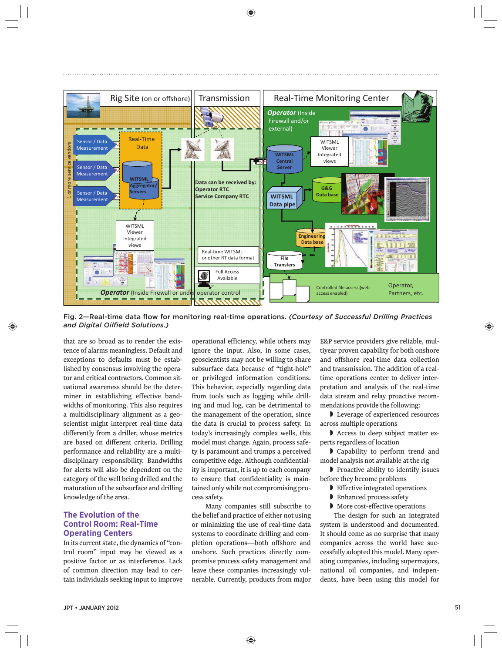

Fig. 2—Real-time data flow for monitoring real-time operations. *(Courtesy of Successful Drilling Practices and Digital Oilfield Solutions.)*

that are so broad as to render the existence of alarms meaningless. Default and exceptions to defaults must be established by consensus involving the operator and critical contractors. Common situational awareness should be the determiner in establishing effective bandwidths of monitoring. This also requires a multidisciplinary alignment as a geoscientist might interpret real-time data differently from a driller, whose metrics are based on different criteria. Drilling performance and reliability are a multidisciplinary responsibility. Bandwidths for alerts will also be dependent on the category of the well being drilled and the maturation of the subsurface and drilling knowledge of the area.

### **The Evolution of the Control Room: Real-Time Operating Centers**

In its current state, the dynamics of "control room" input may be viewed as a positive factor or as interference. Lack of common direction may lead to certain individuals seeking input to improve

operational efficiency, while others may ignore the input. Also, in some cases, geoscientists may not be willing to share subsurface data because of "tight-hole" or privileged information conditions. This behavior, especially regarding data from tools such as logging while drilling and mud log, can be detrimental to the management of the operation, since the data is crucial to process safety. In today's increasingly complex wells, this model must change. Again, process safety is paramount and trumps a perceived competitive edge. Although confidentiality is important, it is up to each company to ensure that confidentiality is maintained only while not compromising process safety.

Many companies still subscribe to the belief and practice of either not using or minimizing the use of real-time data systems to coordinate drilling and completion operations—both offshore and onshore. Such practices directly compromise process safety management and leave these companies increasingly vulnerable. Currently, products from major E&P service providers give reliable, multiyear proven capability for both onshore and offshore real-time data collection and transmission. The addition of a realtime operations center to deliver interpretation and analysis of the real-time data stream and relay proactive recommendations provide the following:

◗ Leverage of experienced resources across multiple operations

◗ Access to deep subject matter experts regardless of location

◗ Capability to perform trend and model analysis not available at the rig

◗ Proactive ability to identify issues before they become problems

- ◗ Effective integrated operations
- ◗ Enhanced process safety
- ◗ More cost-effective operations

The design for such an integrated system is understood and documented. It should come as no surprise that many companies across the world have successfully adopted this model. Many operating companies, including supermajors, national oil companies, and independents, have been using this model for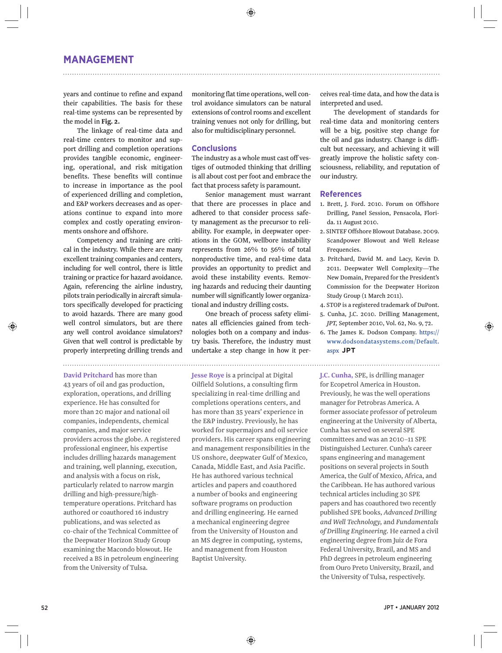years and continue to refine and expand their capabilities. The basis for these real-time systems can be represented by the model in **Fig. 2.**

The linkage of real-time data and real-time centers to monitor and support drilling and completion operations provides tangible economic, engineering, operational, and risk mitigation benefits. These benefits will continue to increase in importance as the pool of experienced drilling and completion, and E&P workers decreases and as operations continue to expand into more complex and costly operating environments onshore and offshore.

Competency and training are critical in the industry. While there are many excellent training companies and centers, including for well control, there is little training or practice for hazard avoidance. Again, referencing the airline industry, pilots train periodically in aircraft simulators specifically developed for practicing to avoid hazards. There are many good well control simulators, but are there any well control avoidance simulators? Given that well control is predictable by properly interpreting drilling trends and

**David Pritchard** has more than 43 years of oil and gas production, exploration, operations, and drilling experience. He has consulted for more than 20 major and national oil companies, independents, chemical companies, and major service providers across the globe. A registered professional engineer, his expertise includes drilling hazards management and training, well planning, execution, and analysis with a focus on risk, particularly related to narrow margin drilling and high-pressure/hightemperature operations. Pritchard has authored or coauthored 16 industry publications, and was selected as co-chair of the Technical Committee of the Deepwater Horizon Study Group examining the Macondo blowout. He received a BS in petroleum engineering from the University of Tulsa.

monitoring flat time operations, well control avoidance simulators can be natural extensions of control rooms and excellent training venues not only for drilling, but also for multidisciplinary personnel.

#### **Conclusions**

The industry as a whole must cast off vestiges of outmoded thinking that drilling is all about cost per foot and embrace the fact that process safety is paramount.

Senior management must warrant that there are processes in place and adhered to that consider process safety management as the precursor to reliability. For example, in deepwater operations in the GOM, wellbore instability represents from 26% to 56% of total nonproductive time, and real-time data provides an opportunity to predict and avoid these instability events. Removing hazards and reducing their daunting number will significantly lower organizational and industry drilling costs.

One breach of process safety eliminates all efficiencies gained from technologies both on a company and industry basis. Therefore, the industry must undertake a step change in how it per-

**Jesse Roye** is a principal at Digital Oilfield Solutions, a consulting firm specializing in real-time drilling and completions operations centers, and has more than 35 years' experience in the E&P industry. Previously, he has worked for supermajors and oil service providers. His career spans engineering and management responsibilities in the US onshore, deepwater Gulf of Mexico, Canada, Middle East, and Asia Pacific. He has authored various technical articles and papers and coauthored a number of books and engineering software programs on production and drilling engineering. He earned a mechanical engineering degree from the University of Houston and an MS degree in computing, systems, and management from Houston Baptist University.

ceives real-time data, and how the data is interpreted and used.

The development of standards for real-time data and monitoring centers will be a big, positive step change for the oil and gas industry. Change is difficult but necessary, and achieving it will greatly improve the holistic safety consciousness, reliability, and reputation of our industry.

#### **References**

- 1. Brett, J. Ford. 2010. Forum on Offshore Drilling, Panel Session, Pensacola, Florida. 11 August 2010.
- 2. SINTEF Offshore Blowout Database. 2009. Scandpower Blowout and Well Release Frequencies.
- 3. Pritchard, David M. and Lacy, Kevin D. 2011. Deepwater Well Complexity—The New Domain, Prepared for the President's Commission for the Deepwater Horizon Study Group (1 March 2011).
- 4. STOP is a registered trademark of DuPont.
- 5. Cunha, J.C. 2010. Drilling Management, *JPT,* September 2010, Vol. 62, No. 9, 72.
- 6. The James K. Dodson Company. https:// www.dodsondatasystems.com/Default. aspx **JPT**

**J.C. Cunha,** SPE, is drilling manager for Ecopetrol America in Houston. Previously, he was the well operations manager for Petrobras America. A former associate professor of petroleum engineering at the University of Alberta, Cunha has served on several SPE committees and was an 2010–11 SPE Distinguished Lecturer. Cunha's career spans engineering and management positions on several projects in South America, the Gulf of Mexico, Africa, and the Caribbean. He has authored various technical articles including 30 SPE papers and has coauthored two recently published SPE books, *Advanced Drilling and Well Technology,* and *Fundamentals of Drilling Engineering.* He earned a civil engineering degree from Juiz de Fora Federal University, Brazil, and MS and PhD degrees in petroleum engineering from Ouro Preto University, Brazil, and the University of Tulsa, respectively.